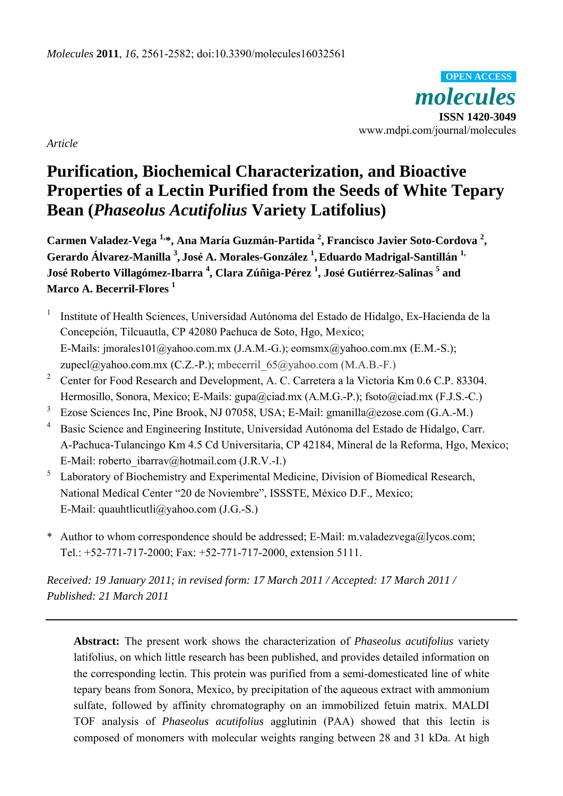*molecules*  **ISSN 1420-3049**  www.mdpi.com/journal/molecules **OPEN ACCESS**

*Article* 

# **Purification, Biochemical Characterization, and Bioactive Properties of a Lectin Purified from the Seeds of White Tepary Bean (***Phaseolus Acutifolius* **Variety Latifolius)**

**Carmen Valadez-Vega 1,\*, Ana María Guzmán-Partida 2 , Francisco Javier Soto-Cordova <sup>2</sup> , Gerardo Álvarez-Manilla 3 , José A. Morales-González 1 ,Eduardo Madrigal-Santillán 1, José Roberto Villagómez-Ibarra <sup>4</sup> , Clara Zúñiga-Pérez 1 , José Gutiérrez-Salinas 5 and Marco A. Becerril-Flores 1**

- 1 Institute of Health Sciences, Universidad Autónoma del Estado de Hidalgo, Ex-Hacienda de la Concepción, Tilcuautla, CP 42080 Pachuca de Soto, Hgo, Mexico; E-Mails: jmorales101@yahoo.com.mx (J.A.M.-G.); eomsmx@yahoo.com.mx (E.M.-S.); zupecl@yahoo.com.mx (C.Z.-P.); mbecerril\_65@yahoo.com (M.A.B.-F.)
- 2 Center for Food Research and Development, A. C. Carretera a la Victoria Km 0.6 C.P. 83304. Hermosillo, Sonora, Mexico; E-Mails: gupa@ciad.mx (A.M.G.-P.); fsoto@ciad.mx (F.J.S.-C.)
- 3 Ezose Sciences Inc, Pine Brook, NJ 07058, USA; E-Mail: gmanilla@ezose.com (G.A.-M.)
- 4 Basic Science and Engineering Institute, Universidad Autónoma del Estado de Hidalgo, Carr. A-Pachuca-Tulancingo Km 4.5 Cd Universitaria, CP 42184, Mineral de la Reforma, Hgo, Mexico; E-Mail: roberto\_ibarrav@hotmail.com (J.R.V.-I.)
- 5 Laboratory of Biochemistry and Experimental Medicine, Division of Biomedical Research, National Medical Center "20 de Noviembre", ISSSTE, México D.F., Mexico; E-Mail: quauhtlicutli@yahoo.com (J.G.-S.)
- \* Author to whom correspondence should be addressed; E-Mail: m.valadezvega@lycos.com; Tel.: +52-771-717-2000; Fax: +52-771-717-2000, extension 5111.

*Received: 19 January 2011; in revised form: 17 March 2011 / Accepted: 17 March 2011 / Published: 21 March 2011* 

**Abstract:** The present work shows the characterization of *Phaseolus acutifolius* variety latifolius, on which little research has been published, and provides detailed information on the corresponding lectin. This protein was purified from a semi-domesticated line of white tepary beans from Sonora, Mexico, by precipitation of the aqueous extract with ammonium sulfate, followed by affinity chromatography on an immobilized fetuin matrix. MALDI TOF analysis of *Phaseolus acutifolius* agglutinin (PAA) showed that this lectin is composed of monomers with molecular weights ranging between 28 and 31 kDa. At high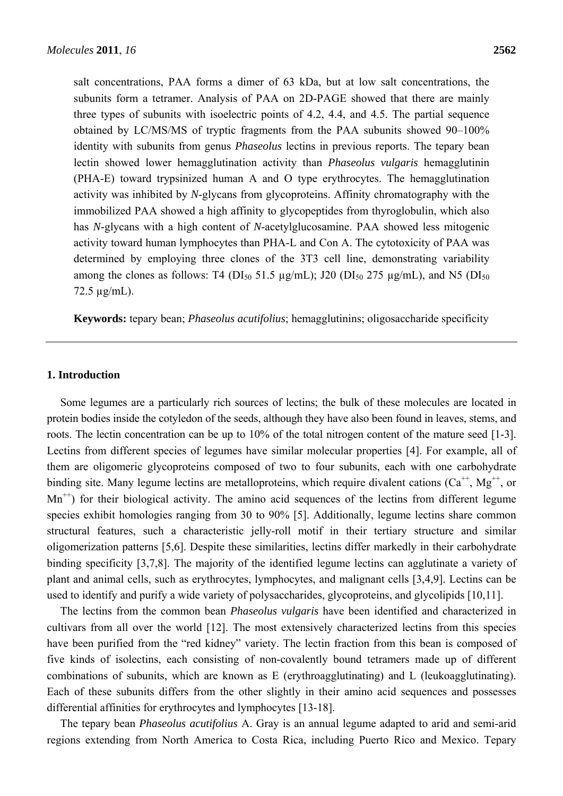salt concentrations, PAA forms a dimer of 63 kDa, but at low salt concentrations, the subunits form a tetramer. Analysis of PAA on 2D-PAGE showed that there are mainly three types of subunits with isoelectric points of 4.2, 4.4, and 4.5. The partial sequence obtained by LC/MS/MS of tryptic fragments from the PAA subunits showed 90–100% identity with subunits from genus *Phaseolus* lectins in previous reports. The tepary bean lectin showed lower hemagglutination activity than *Phaseolus vulgaris* hemagglutinin (PHA-E) toward trypsinized human A and O type erythrocytes. The hemagglutination activity was inhibited by *N*-glycans from glycoproteins. Affinity chromatography with the immobilized PAA showed a high affinity to glycopeptides from thyroglobulin, which also has *N*-glycans with a high content of *N*-acetylglucosamine. PAA showed less mitogenic activity toward human lymphocytes than PHA-L and Con A. The cytotoxicity of PAA was determined by employing three clones of the 3T3 cell line, demonstrating variability among the clones as follows: T4 ( $DI_{50}$  51.5  $\mu$ g/mL); J20 ( $DI_{50}$  275  $\mu$ g/mL), and N5 ( $DI_{50}$ 72.5 µg/mL).

**Keywords:** tepary bean; *Phaseolus acutifolius*; hemagglutinins; oligosaccharide specificity

#### **1. Introduction**

Some legumes are a particularly rich sources of lectins; the bulk of these molecules are located in protein bodies inside the cotyledon of the seeds, although they have also been found in leaves, stems, and roots. The lectin concentration can be up to 10% of the total nitrogen content of the mature seed [1-3]. Lectins from different species of legumes have similar molecular properties [4]. For example, all of them are oligomeric glycoproteins composed of two to four subunits, each with one carbohydrate binding site. Many legume lectins are metalloproteins, which require divalent cations  $(Ca^{++}, Mg^{++}, or$  $Mn^{++}$ ) for their biological activity. The amino acid sequences of the lectins from different legume species exhibit homologies ranging from 30 to 90% [5]. Additionally, legume lectins share common structural features, such a characteristic jelly-roll motif in their tertiary structure and similar oligomerization patterns [5,6]. Despite these similarities, lectins differ markedly in their carbohydrate binding specificity [3,7,8]. The majority of the identified legume lectins can agglutinate a variety of plant and animal cells, such as erythrocytes, lymphocytes, and malignant cells [3,4,9]. Lectins can be used to identify and purify a wide variety of polysaccharides, glycoproteins, and glycolipids [10,11].

The lectins from the common bean *Phaseolus vulgaris* have been identified and characterized in cultivars from all over the world [12]. The most extensively characterized lectins from this species have been purified from the "red kidney" variety. The lectin fraction from this bean is composed of five kinds of isolectins, each consisting of non-covalently bound tetramers made up of different combinations of subunits, which are known as E (erythroagglutinating) and L (leukoagglutinating). Each of these subunits differs from the other slightly in their amino acid sequences and possesses differential affinities for erythrocytes and lymphocytes [13-18].

The tepary bean *Phaseolus acutifolius* A. Gray is an annual legume adapted to arid and semi-arid regions extending from North America to Costa Rica, including Puerto Rico and Mexico. Tepary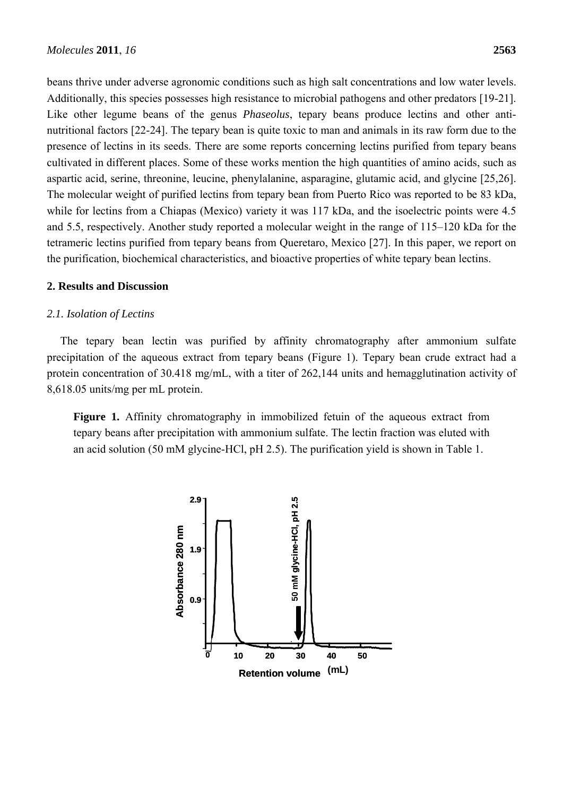beans thrive under adverse agronomic conditions such as high salt concentrations and low water levels. Additionally, this species possesses high resistance to microbial pathogens and other predators [19-21]. Like other legume beans of the genus *Phaseolus*, tepary beans produce lectins and other antinutritional factors [22-24]. The tepary bean is quite toxic to man and animals in its raw form due to the presence of lectins in its seeds. There are some reports concerning lectins purified from tepary beans cultivated in different places. Some of these works mention the high quantities of amino acids, such as aspartic acid, serine, threonine, leucine, phenylalanine, asparagine, glutamic acid, and glycine [25,26]. The molecular weight of purified lectins from tepary bean from Puerto Rico was reported to be 83 kDa, while for lectins from a Chiapas (Mexico) variety it was 117 kDa, and the isoelectric points were 4.5 and 5.5, respectively. Another study reported a molecular weight in the range of 115–120 kDa for the tetrameric lectins purified from tepary beans from Queretaro, Mexico [27]. In this paper, we report on the purification, biochemical characteristics, and bioactive properties of white tepary bean lectins.

#### **2. Results and Discussion**

#### *2.1. Isolation of Lectins*

The tepary bean lectin was purified by affinity chromatography after ammonium sulfate precipitation of the aqueous extract from tepary beans (Figure 1). Tepary bean crude extract had a protein concentration of 30.418 mg/mL, with a titer of 262,144 units and hemagglutination activity of 8,618.05 units/mg per mL protein.

**Figure 1.** Affinity chromatography in immobilized fetuin of the aqueous extract from tepary beans after precipitation with ammonium sulfate. The lectin fraction was eluted with an acid solution (50 mM glycine-HCl, pH 2.5). The purification yield is shown in Table 1.

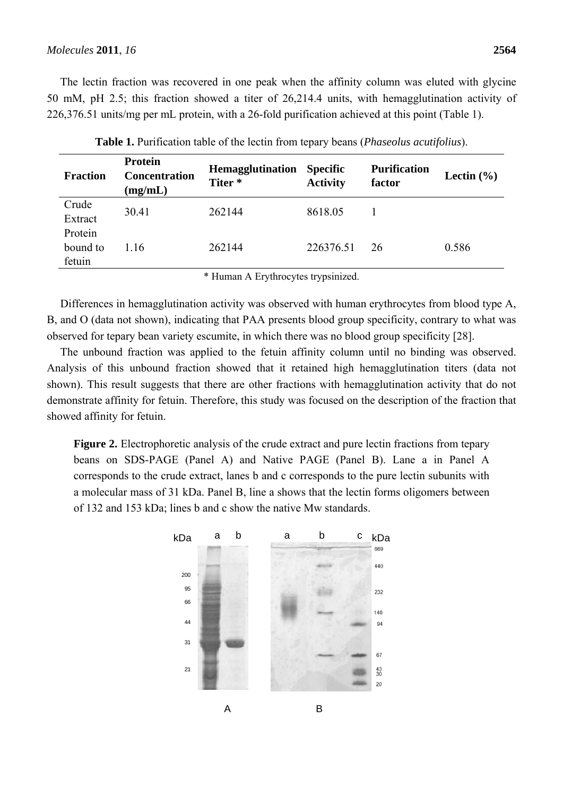The lectin fraction was recovered in one peak when the affinity column was eluted with glycine 50 mM, pH 2.5; this fraction showed a titer of 26,214.4 units, with hemagglutination activity of 226,376.51 units/mg per mL protein, with a 26-fold purification achieved at this point (Table 1).

| <b>Fraction</b>               | <b>Protein</b><br><b>Concentration</b><br>(mg/mL) | <b>Hemagglutination</b><br>Titer <sup>*</sup> | <b>Specific</b><br><b>Activity</b> | <b>Purification</b><br>factor | Lectin $(\% )$ |
|-------------------------------|---------------------------------------------------|-----------------------------------------------|------------------------------------|-------------------------------|----------------|
| Crude<br>Extract              | 30.41                                             | 262144                                        | 8618.05                            |                               |                |
| Protein<br>bound to<br>fetuin | 1.16                                              | 262144                                        | 226376.51                          | 26                            | 0.586          |

**Table 1.** Purification table of the lectin from tepary beans (*Phaseolus acutifolius*).

\* Human A Erythrocytes trypsinized.

Differences in hemagglutination activity was observed with human erythrocytes from blood type A, B, and O (data not shown), indicating that PAA presents blood group specificity, contrary to what was observed for tepary bean variety escumite, in which there was no blood group specificity [28].

The unbound fraction was applied to the fetuin affinity column until no binding was observed. Analysis of this unbound fraction showed that it retained high hemagglutination titers (data not shown). This result suggests that there are other fractions with hemagglutination activity that do not demonstrate affinity for fetuin. Therefore, this study was focused on the description of the fraction that showed affinity for fetuin.

**Figure 2.** Electrophoretic analysis of the crude extract and pure lectin fractions from tepary beans on SDS-PAGE (Panel A) and Native PAGE (Panel B). Lane a in Panel A corresponds to the crude extract, lanes b and c corresponds to the pure lectin subunits with a molecular mass of 31 kDa. Panel B, line a shows that the lectin forms oligomers between of 132 and 153 kDa; lines b and c show the native Mw standards.

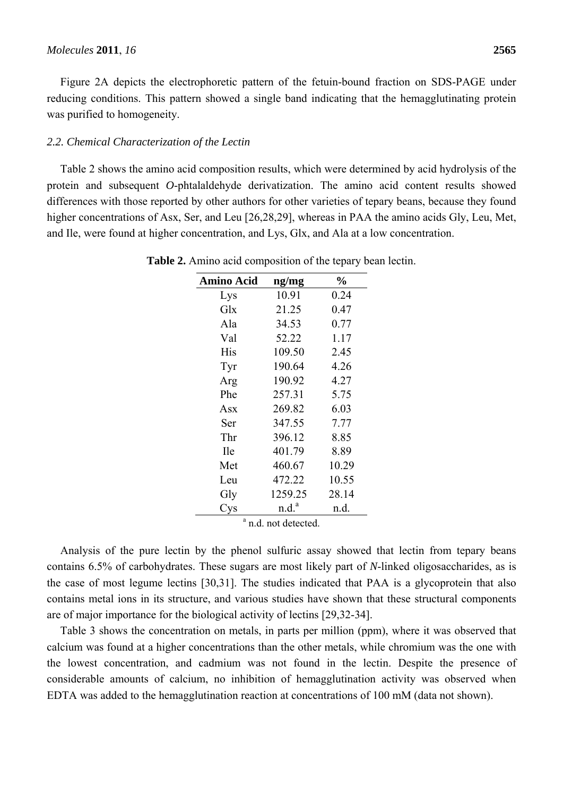Figure 2A depicts the electrophoretic pattern of the fetuin-bound fraction on SDS-PAGE under reducing conditions. This pattern showed a single band indicating that the hemagglutinating protein was purified to homogeneity.

#### *2.2. Chemical Characterization of the Lectin*

Table 2 shows the amino acid composition results, which were determined by acid hydrolysis of the protein and subsequent *O*-phtalaldehyde derivatization. The amino acid content results showed differences with those reported by other authors for other varieties of tepary beans, because they found higher concentrations of Asx, Ser, and Leu [26,28,29], whereas in PAA the amino acids Gly, Leu, Met, and Ile, were found at higher concentration, and Lys, Glx, and Ala at a low concentration.

| <b>Amino Acid</b><br>ng/mg       |         | $\frac{0}{0}$ |  |  |
|----------------------------------|---------|---------------|--|--|
| Lys                              | 10.91   | 0.24          |  |  |
| Glx                              | 21.25   | 0.47          |  |  |
| Ala                              | 34.53   | 0.77          |  |  |
| Val                              | 52.22   | 1.17          |  |  |
| His                              | 109.50  | 2.45          |  |  |
| Tyr                              | 190.64  | 4.26          |  |  |
| Arg                              | 190.92  | 4.27          |  |  |
| Phe                              | 257.31  | 5.75          |  |  |
| Asx                              | 269.82  | 6.03          |  |  |
| Ser                              | 347.55  | 7.77          |  |  |
| Thr                              | 396.12  | 8.85          |  |  |
| <b>Ile</b>                       | 401.79  | 8.89          |  |  |
| Met                              | 460.67  | 10.29         |  |  |
| Leu                              | 472.22  | 10.55         |  |  |
| Gly                              | 1259.25 | 28.14         |  |  |
| n.d. <sup>a</sup><br>Cys<br>n.d. |         |               |  |  |
| a<br>n.d. not detected.          |         |               |  |  |

**Table 2.** Amino acid composition of the tepary bean lectin.

Analysis of the pure lectin by the phenol sulfuric assay showed that lectin from tepary beans contains 6.5% of carbohydrates. These sugars are most likely part of *N*-linked oligosaccharides, as is the case of most legume lectins [30,31]. The studies indicated that PAA is a glycoprotein that also contains metal ions in its structure, and various studies have shown that these structural components are of major importance for the biological activity of lectins [29,32-34].

Table 3 shows the concentration on metals, in parts per million (ppm), where it was observed that calcium was found at a higher concentrations than the other metals, while chromium was the one with the lowest concentration, and cadmium was not found in the lectin. Despite the presence of considerable amounts of calcium, no inhibition of hemagglutination activity was observed when EDTA was added to the hemagglutination reaction at concentrations of 100 mM (data not shown).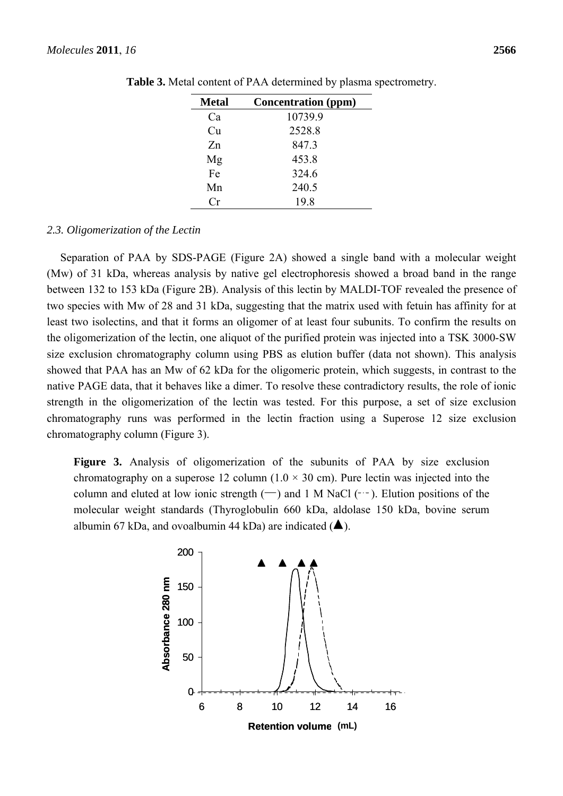| <b>Metal</b> | <b>Concentration</b> (ppm) |
|--------------|----------------------------|
| Ca           | 10739.9                    |
| Cu           | 2528.8                     |
| Zn           | 847.3                      |
| Mg           | 453.8                      |
| Fe           | 324.6                      |
| Mn           | 240.5                      |
| ( 'r         | 19.8                       |

**Table 3.** Metal content of PAA determined by plasma spectrometry.

#### *2.3. Oligomerization of the Lectin*

Separation of PAA by SDS-PAGE (Figure 2A) showed a single band with a molecular weight (Mw) of 31 kDa, whereas analysis by native gel electrophoresis showed a broad band in the range between 132 to 153 kDa (Figure 2B). Analysis of this lectin by MALDI-TOF revealed the presence of two species with Mw of 28 and 31 kDa, suggesting that the matrix used with fetuin has affinity for at least two isolectins, and that it forms an oligomer of at least four subunits. To confirm the results on the oligomerization of the lectin, one aliquot of the purified protein was injected into a TSK 3000-SW size exclusion chromatography column using PBS as elution buffer (data not shown). This analysis showed that PAA has an Mw of 62 kDa for the oligomeric protein, which suggests, in contrast to the native PAGE data, that it behaves like a dimer. To resolve these contradictory results, the role of ionic strength in the oligomerization of the lectin was tested. For this purpose, a set of size exclusion chromatography runs was performed in the lectin fraction using a Superose 12 size exclusion chromatography column (Figure 3).

**Figure 3.** Analysis of oligomerization of the subunits of PAA by size exclusion chromatography on a superose 12 column (1.0  $\times$  30 cm). Pure lectin was injected into the column and eluted at low ionic strength  $(-)$  and 1 M NaCl  $(-)$ . Elution positions of the molecular weight standards (Thyroglobulin 660 kDa, aldolase 150 kDa, bovine serum albumin 67 kDa, and ovoalbumin 44 kDa) are indicated  $($ **A** $)$ .

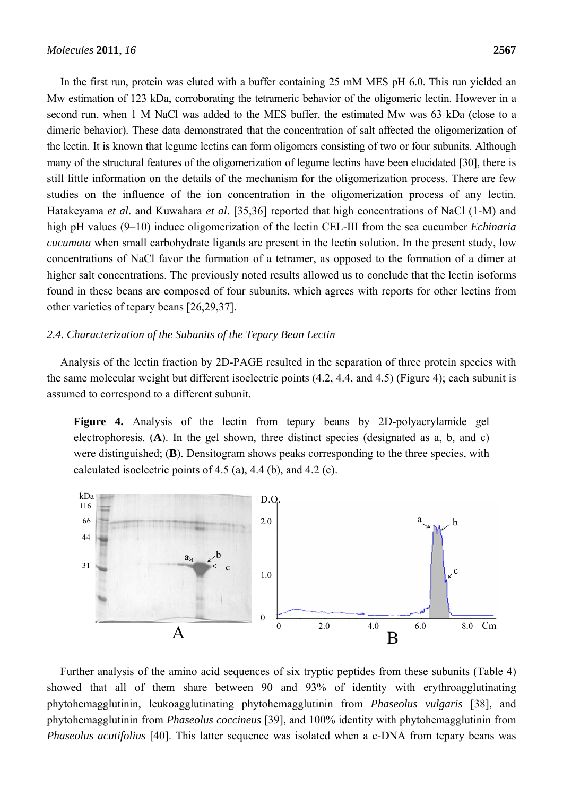In the first run, protein was eluted with a buffer containing 25 mM MES pH 6.0. This run yielded an Mw estimation of 123 kDa, corroborating the tetrameric behavior of the oligomeric lectin. However in a second run, when 1 M NaCl was added to the MES buffer, the estimated Mw was 63 kDa (close to a dimeric behavior). These data demonstrated that the concentration of salt affected the oligomerization of the lectin. It is known that legume lectins can form oligomers consisting of two or four subunits. Although many of the structural features of the oligomerization of legume lectins have been elucidated [30], there is still little information on the details of the mechanism for the oligomerization process. There are few studies on the influence of the ion concentration in the oligomerization process of any lectin. Hatakeyama *et al*. and Kuwahara *et al*. [35,36] reported that high concentrations of NaCl (1-M) and high pH values (9–10) induce oligomerization of the lectin CEL-III from the sea cucumber *Echinaria cucumata* when small carbohydrate ligands are present in the lectin solution. In the present study, low concentrations of NaCl favor the formation of a tetramer, as opposed to the formation of a dimer at higher salt concentrations. The previously noted results allowed us to conclude that the lectin isoforms found in these beans are composed of four subunits, which agrees with reports for other lectins from other varieties of tepary beans [26,29,37].

#### *2.4. Characterization of the Subunits of the Tepary Bean Lectin*

Analysis of the lectin fraction by 2D-PAGE resulted in the separation of three protein species with the same molecular weight but different isoelectric points (4.2, 4.4, and 4.5) (Figure 4); each subunit is assumed to correspond to a different subunit.

**Figure 4.** Analysis of the lectin from tepary beans by 2D-polyacrylamide gel electrophoresis. (**A**). In the gel shown, three distinct species (designated as a, b, and c) were distinguished; (**B**). Densitogram shows peaks corresponding to the three species, with calculated isoelectric points of 4.5 (a), 4.4 (b), and 4.2 (c).



Further analysis of the amino acid sequences of six tryptic peptides from these subunits (Table 4) showed that all of them share between 90 and 93% of identity with erythroagglutinating phytohemagglutinin, leukoagglutinating phytohemagglutinin from *Phaseolus vulgaris* [38], and phytohemagglutinin from *Phaseolus coccineus* [39], and 100% identity with phytohemagglutinin from *Phaseolus acutifolius* [40]. This latter sequence was isolated when a c-DNA from tepary beans was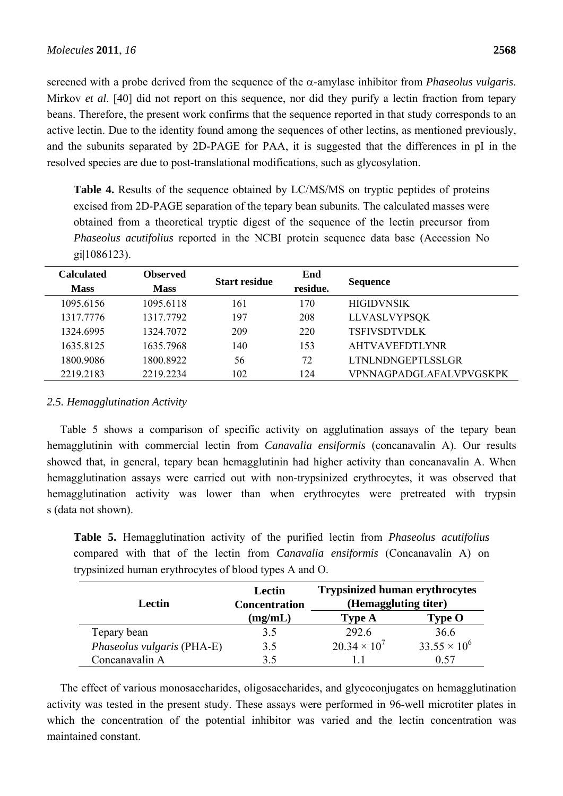screened with a probe derived from the sequence of the α-amylase inhibitor from *Phaseolus vulgaris*. Mirkov *et al*. [40] did not report on this sequence, nor did they purify a lectin fraction from tepary beans. Therefore, the present work confirms that the sequence reported in that study corresponds to an active lectin. Due to the identity found among the sequences of other lectins, as mentioned previously, and the subunits separated by 2D-PAGE for PAA, it is suggested that the differences in pI in the resolved species are due to post-translational modifications, such as glycosylation.

**Table 4.** Results of the sequence obtained by LC/MS/MS on tryptic peptides of proteins excised from 2D-PAGE separation of the tepary bean subunits. The calculated masses were obtained from a theoretical tryptic digest of the sequence of the lectin precursor from *Phaseolus acutifolius* reported in the NCBI protein sequence data base (Accession No gi|1086123).

| <b>Calculated</b> | <b>Observed</b> | <b>Start residue</b> | End      |                         |  |
|-------------------|-----------------|----------------------|----------|-------------------------|--|
| <b>Mass</b>       | <b>Mass</b>     |                      | residue. | <b>Sequence</b>         |  |
| 1095.6156         | 1095.6118       | 161                  | 170      | <b>HIGIDVNSIK</b>       |  |
| 1317.7776         | 1317.7792       | 197                  | 208      | LLVASLVYPSQK            |  |
| 1324.6995         | 1324.7072       | 209                  | 220      | <b>TSFIVSDTVDLK</b>     |  |
| 1635.8125         | 1635.7968       | 140                  | 153      | <b>AHTVAVEFDTLYNR</b>   |  |
| 1800.9086         | 1800.8922       | 56                   | 72       | LTNLNDNGEPTLSSLGR       |  |
| 2219.2183         | 2219 2234       | 102                  | 124      | VPNNAGPADGLAFALVPVGSKPK |  |

## *2.5. Hemagglutination Activity*

Table 5 shows a comparison of specific activity on agglutination assays of the tepary bean hemagglutinin with commercial lectin from *Canavalia ensiformis* (concanavalin A). Our results showed that, in general, tepary bean hemagglutinin had higher activity than concanavalin A. When hemagglutination assays were carried out with non-trypsinized erythrocytes, it was observed that hemagglutination activity was lower than when erythrocytes were pretreated with trypsin s (data not shown).

**Table 5.** Hemagglutination activity of the purified lectin from *Phaseolus acutifolius* compared with that of the lectin from *Canavalia ensiformis* (Concanavalin A) on trypsinized human erythrocytes of blood types A and O.

| Lectin                     | Lectin<br><b>Concentration</b> | <b>Trypsinized human erythrocytes</b><br>(Hemaggluting titer) |                     |  |
|----------------------------|--------------------------------|---------------------------------------------------------------|---------------------|--|
|                            | (mg/mL)                        | <b>Type A</b>                                                 | <b>Type O</b>       |  |
| Tepary bean                | 3.5                            | 292.6                                                         | 36.6                |  |
| Phaseolus vulgaris (PHA-E) | 3.5                            | $20.34 \times 10^7$                                           | $33.55 \times 10^6$ |  |
| Concanavalin A             | 35                             |                                                               | በ 57                |  |

The effect of various monosaccharides, oligosaccharides, and glycoconjugates on hemagglutination activity was tested in the present study. These assays were performed in 96-well microtiter plates in which the concentration of the potential inhibitor was varied and the lectin concentration was maintained constant.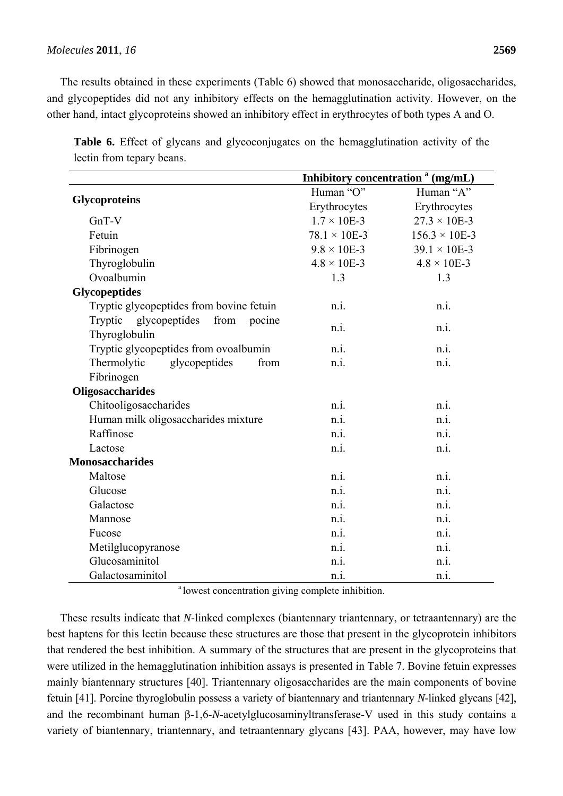#### *Molecules* **2011**, *16* **2569**

The results obtained in these experiments (Table 6) showed that monosaccharide, oligosaccharides, and glycopeptides did not any inhibitory effects on the hemagglutination activity. However, on the other hand, intact glycoproteins showed an inhibitory effect in erythrocytes of both types A and O.

| Inhibitory concentration <sup>a</sup> (mg/mL)            |                       |                       |
|----------------------------------------------------------|-----------------------|-----------------------|
|                                                          | Human "O"             | Human "A"             |
| <b>Glycoproteins</b>                                     | Erythrocytes          | Erythrocytes          |
| $GnT-V$                                                  | $1.7 \times 10E - 3$  | $27.3 \times 10E - 3$ |
| Fetuin                                                   | $78.1 \times 10E - 3$ | $156.3 \times 10E-3$  |
| Fibrinogen                                               | $9.8 \times 10E - 3$  | $39.1 \times 10E-3$   |
| Thyroglobulin                                            | $4.8 \times 10E - 3$  | $4.8 \times 10E - 3$  |
| Ovoalbumin                                               | 1.3                   | 1.3                   |
| <b>Glycopeptides</b>                                     |                       |                       |
| Tryptic glycopeptides from bovine fetuin                 | n.i.                  | n.i.                  |
| glycopeptides from<br>Tryptic<br>pocine<br>Thyroglobulin | n.i.                  | n.i.                  |
| Tryptic glycopeptides from ovoalbumin                    | n.i.                  | n.i.                  |
| Thermolytic<br>glycopeptides<br>from                     | n.i.                  | n.i.                  |
| Fibrinogen                                               |                       |                       |
| Oligosaccharides                                         |                       |                       |
| Chitooligosaccharides                                    | n.i.                  | n.i.                  |
| Human milk oligosaccharides mixture                      | n.i.                  | n.i.                  |
| Raffinose                                                | n.i.                  | n.i.                  |
| Lactose                                                  | n.i.                  | n.i.                  |
| <b>Monosaccharides</b>                                   |                       |                       |
| Maltose                                                  | n.i.                  | n.i.                  |
| Glucose                                                  | n.1.                  | n.i.                  |
| Galactose                                                | n.i.                  | n.i.                  |
| Mannose                                                  | n.i.                  | n.i.                  |
| Fucose                                                   | n.i.                  | n.i.                  |
| Metilglucopyranose                                       | n.i.                  | n.i.                  |
| Glucosaminitol                                           | n.i.                  | n.i.                  |
| Galactosaminitol                                         | n <sub>1</sub>        | n <sub>1</sub>        |

**Table 6.** Effect of glycans and glycoconjugates on the hemagglutination activity of the lectin from tepary beans.

<sup>a</sup> lowest concentration giving complete inhibition.

These results indicate that *N*-linked complexes (biantennary triantennary, or tetraantennary) are the best haptens for this lectin because these structures are those that present in the glycoprotein inhibitors that rendered the best inhibition. A summary of the structures that are present in the glycoproteins that were utilized in the hemagglutination inhibition assays is presented in Table 7. Bovine fetuin expresses mainly biantennary structures [40]. Triantennary oligosaccharides are the main components of bovine fetuin [41]. Porcine thyroglobulin possess a variety of biantennary and triantennary *N*-linked glycans [42], and the recombinant human β-1,6-*N*-acetylglucosaminyltransferase-V used in this study contains a variety of biantennary, triantennary, and tetraantennary glycans [43]. PAA, however, may have low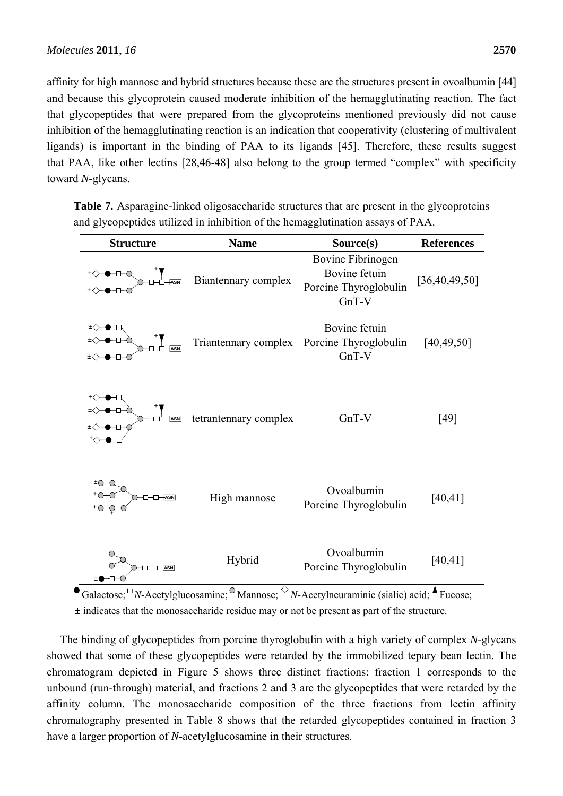affinity for high mannose and hybrid structures because these are the structures present in ovoalbumin [44] and because this glycoprotein caused moderate inhibition of the hemagglutinating reaction. The fact that glycopeptides that were prepared from the glycoproteins mentioned previously did not cause inhibition of the hemagglutinating reaction is an indication that cooperativity (clustering of multivalent ligands) is important in the binding of PAA to its ligands [45]. Therefore, these results suggest that PAA, like other lectins [28,46-48] also belong to the group termed "complex" with specificity toward *N*-glycans.

**Table 7.** Asparagine-linked oligosaccharide structures that are present in the glycoproteins and glycopeptides utilized in inhibition of the hemagglutination assays of PAA.

| <b>Structure</b>                                                                                                                    | <b>Name</b>           | Source(s)                                                              | <b>References</b> |
|-------------------------------------------------------------------------------------------------------------------------------------|-----------------------|------------------------------------------------------------------------|-------------------|
| $\bullet$ or $\circ$<br>$\sqrt{ASN}$<br>$\vdash\vdash$ C                                                                            | Biantennary complex   | Bovine Fibrinogen<br>Bovine fetuin<br>Porcine Thyroglobulin<br>$GnT-V$ | [36, 40, 49, 50]  |
|                                                                                                                                     |                       | Bovine fetuin<br>Triantennary complex Porcine Thyroglobulin<br>GnT-V   | [40, 49, 50]      |
| Ð<br>⊢⊡<br>$-$ ASN<br>±◇←                                                                                                           | tetrantennary complex | $GnT-V$                                                                | [49]              |
| $\pm$ O-<br>$\Box$ $\Box$ $\Box$                                                                                                    | High mannose          | Ovoalbumin<br>Porcine Thyroglobulin                                    | [40, 41]          |
| $H + 2S$<br>±٤                                                                                                                      | Hybrid                | Ovoalbumin<br>Porcine Thyroglobulin                                    | [40, 41]          |
| Galactose; $\Box N$ -Acetylglucosamine; $\degree$ Mannose; $\Diamond N$ -Acetylneuraminic (sialic) acid; $\blacktriangle N$ Fucose; |                       |                                                                        |                   |

**±** indicates that the monosaccharide residue may or not be present as part of the structure.

The binding of glycopeptides from porcine thyroglobulin with a high variety of complex *N*-glycans showed that some of these glycopeptides were retarded by the immobilized tepary bean lectin. The chromatogram depicted in Figure 5 shows three distinct fractions: fraction 1 corresponds to the unbound (run-through) material, and fractions 2 and 3 are the glycopeptides that were retarded by the affinity column. The monosaccharide composition of the three fractions from lectin affinity chromatography presented in Table 8 shows that the retarded glycopeptides contained in fraction 3 have a larger proportion of *N*-acetylglucosamine in their structures.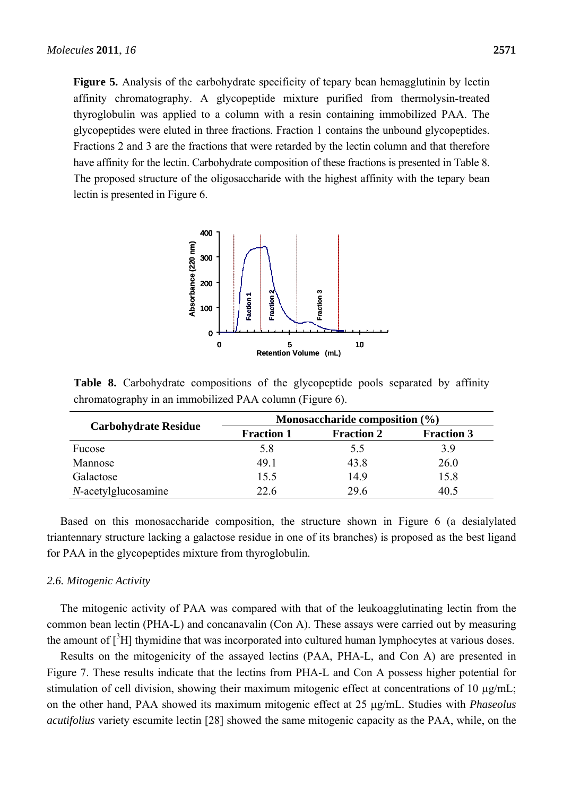**Figure 5.** Analysis of the carbohydrate specificity of tepary bean hemagglutinin by lectin affinity chromatography. A glycopeptide mixture purified from thermolysin-treated thyroglobulin was applied to a column with a resin containing immobilized PAA. The glycopeptides were eluted in three fractions. Fraction 1 contains the unbound glycopeptides. Fractions 2 and 3 are the fractions that were retarded by the lectin column and that therefore have affinity for the lectin. Carbohydrate composition of these fractions is presented in Table 8. The proposed structure of the oligosaccharide with the highest affinity with the tepary bean lectin is presented in Figure 6.



**Table 8.** Carbohydrate compositions of the glycopeptide pools separated by affinity chromatography in an immobilized PAA column (Figure 6).

|                             | Monosaccharide composition $(\%)$ |                   |                   |  |  |
|-----------------------------|-----------------------------------|-------------------|-------------------|--|--|
| <b>Carbohydrate Residue</b> | <b>Fraction 1</b>                 | <b>Fraction 2</b> | <b>Fraction 3</b> |  |  |
| Fucose                      | 5.8                               | 5.5               | 3.9               |  |  |
| Mannose                     | 49.1                              | 43.8              | 26.0              |  |  |
| Galactose                   | 15.5                              | 14.9              | 15.8              |  |  |
| N-acetylglucosamine         | 22.6                              | 29.6              | 40.5              |  |  |

Based on this monosaccharide composition, the structure shown in Figure 6 (a desialylated triantennary structure lacking a galactose residue in one of its branches) is proposed as the best ligand for PAA in the glycopeptides mixture from thyroglobulin.

#### *2.6. Mitogenic Activity*

The mitogenic activity of PAA was compared with that of the leukoagglutinating lectin from the common bean lectin (PHA-L) and concanavalin (Con A). These assays were carried out by measuring the amount of  $[^{3}H]$  thymidine that was incorporated into cultured human lymphocytes at various doses.

Results on the mitogenicity of the assayed lectins (PAA, PHA-L, and Con A) are presented in Figure 7. These results indicate that the lectins from PHA-L and Con A possess higher potential for stimulation of cell division, showing their maximum mitogenic effect at concentrations of 10 μg/mL; on the other hand, PAA showed its maximum mitogenic effect at 25 μg/mL. Studies with *Phaseolus acutifolius* variety escumite lectin [28] showed the same mitogenic capacity as the PAA, while, on the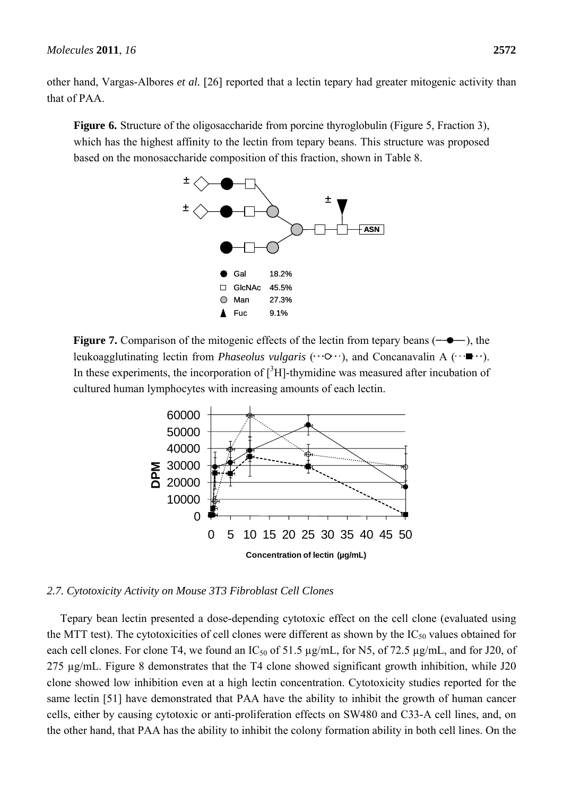other hand, Vargas-Albores *et al.* [26] reported that a lectin tepary had greater mitogenic activity than that of PAA.

**Figure 6.** Structure of the oligosaccharide from porcine thyroglobulin (Figure 5, Fraction 3), which has the highest affinity to the lectin from tepary beans. This structure was proposed based on the monosaccharide composition of this fraction, shown in Table 8.



**Figure 7.** Comparison of the mitogenic effects of the lectin from tepary beans  $(-\bullet)$ , the leukoagglutinating lectin from *Phaseolus vulgaris* ( $\circ$ ), and Concanavalin A ( $\circ$ **+**). In these experiments, the incorporation of  $[^3H]$ -thymidine was measured after incubation of cultured human lymphocytes with increasing amounts of each lectin.



## *2.7. Cytotoxicity Activity on Mouse 3T3 Fibroblast Cell Clones*

Tepary bean lectin presented a dose-depending cytotoxic effect on the cell clone (evaluated using the MTT test). The cytotoxicities of cell clones were different as shown by the  $IC_{50}$  values obtained for each cell clones. For clone T4, we found an  $IC_{50}$  of 51.5  $\mu$ g/mL, for N5, of 72.5  $\mu$ g/mL, and for J20, of 275 µg/mL. Figure 8 demonstrates that the T4 clone showed significant growth inhibition, while J20 clone showed low inhibition even at a high lectin concentration. Cytotoxicity studies reported for the same lectin [51] have demonstrated that PAA have the ability to inhibit the growth of human cancer cells, either by causing cytotoxic or anti-proliferation effects on SW480 and C33-A cell lines, and, on the other hand, that PAA has the ability to inhibit the colony formation ability in both cell lines. On the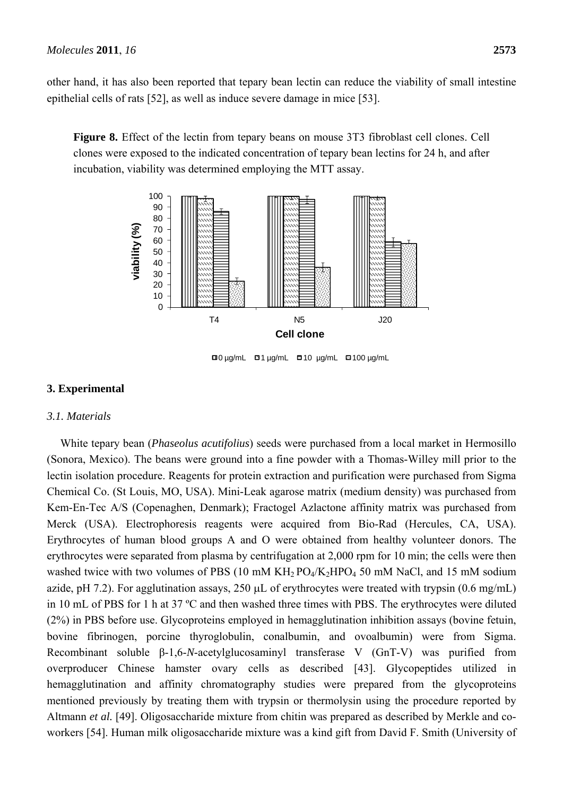other hand, it has also been reported that tepary bean lectin can reduce the viability of small intestine epithelial cells of rats [52], as well as induce severe damage in mice [53].

**Figure 8.** Effect of the lectin from tepary beans on mouse 3T3 fibroblast cell clones. Cell clones were exposed to the indicated concentration of tepary bean lectins for 24 h, and after incubation, viability was determined employing the MTT assay.



 $10 \mu g/mL$  31  $\mu g/mL$  510  $\mu g/mL$  5100  $\mu g/mL$ 

## **3. Experimental**

## *3.1. Materials*

White tepary bean (*Phaseolus acutifolius*) seeds were purchased from a local market in Hermosillo (Sonora, Mexico). The beans were ground into a fine powder with a Thomas-Willey mill prior to the lectin isolation procedure. Reagents for protein extraction and purification were purchased from Sigma Chemical Co. (St Louis, MO, USA). Mini-Leak agarose matrix (medium density) was purchased from Kem-En-Tec A/S (Copenaghen, Denmark); Fractogel Azlactone affinity matrix was purchased from Merck (USA). Electrophoresis reagents were acquired from Bio-Rad (Hercules, CA, USA). Erythrocytes of human blood groups A and O were obtained from healthy volunteer donors. The erythrocytes were separated from plasma by centrifugation at 2,000 rpm for 10 min; the cells were then washed twice with two volumes of PBS (10 mM KH<sub>2</sub> PO<sub>4</sub>/K<sub>2</sub>HPO<sub>4</sub> 50 mM NaCl, and 15 mM sodium azide, pH 7.2). For agglutination assays, 250  $\mu$ L of erythrocytes were treated with trypsin (0.6 mg/mL) in 10 mL of PBS for 1 h at 37 ºC and then washed three times with PBS. The erythrocytes were diluted (2%) in PBS before use. Glycoproteins employed in hemagglutination inhibition assays (bovine fetuin, bovine fibrinogen, porcine thyroglobulin, conalbumin, and ovoalbumin) were from Sigma. Recombinant soluble β-1,6-*N*-acetylglucosaminyl transferase V (GnT-V) was purified from overproducer Chinese hamster ovary cells as described [43]. Glycopeptides utilized in hemagglutination and affinity chromatography studies were prepared from the glycoproteins mentioned previously by treating them with trypsin or thermolysin using the procedure reported by Altmann *et al.* [49]. Oligosaccharide mixture from chitin was prepared as described by Merkle and coworkers [54]. Human milk oligosaccharide mixture was a kind gift from David F. Smith (University of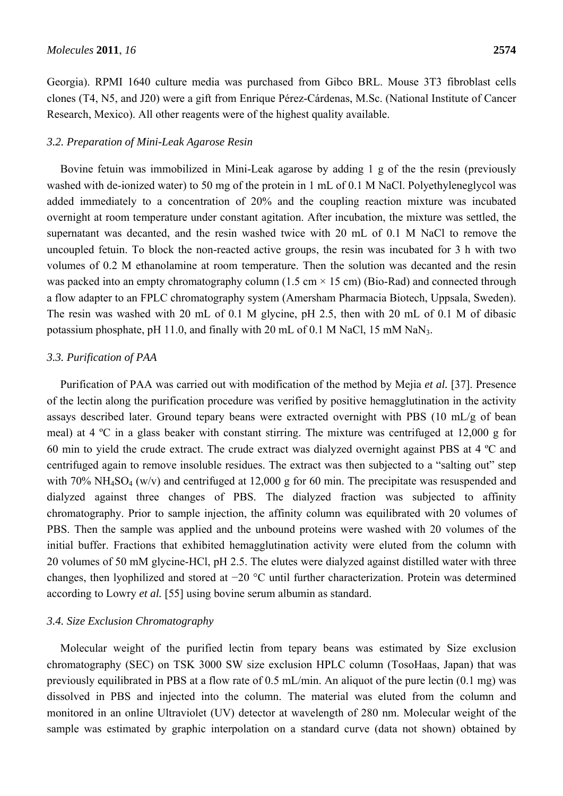Georgia). RPMI 1640 culture media was purchased from Gibco BRL. Mouse 3T3 fibroblast cells clones (T4, N5, and J20) were a gift from Enrique Pérez-Cárdenas, M.Sc. (National Institute of Cancer Research, Mexico). All other reagents were of the highest quality available.

## *3.2. Preparation of Mini-Leak Agarose Resin*

Bovine fetuin was immobilized in Mini-Leak agarose by adding 1 g of the the resin (previously washed with de-ionized water) to 50 mg of the protein in 1 mL of 0.1 M NaCl. Polyethyleneglycol was added immediately to a concentration of 20% and the coupling reaction mixture was incubated overnight at room temperature under constant agitation. After incubation, the mixture was settled, the supernatant was decanted, and the resin washed twice with 20 mL of 0.1 M NaCl to remove the uncoupled fetuin. To block the non-reacted active groups, the resin was incubated for 3 h with two volumes of 0.2 M ethanolamine at room temperature. Then the solution was decanted and the resin was packed into an empty chromatography column  $(1.5 \text{ cm} \times 15 \text{ cm})$  (Bio-Rad) and connected through a flow adapter to an FPLC chromatography system (Amersham Pharmacia Biotech, Uppsala, Sweden). The resin was washed with 20 mL of 0.1 M glycine, pH 2.5, then with 20 mL of 0.1 M of dibasic potassium phosphate, pH 11.0, and finally with 20 mL of 0.1 M NaCl, 15 mM NaN<sub>3</sub>.

## *3.3. Purification of PAA*

Purification of PAA was carried out with modification of the method by Mejia *et al.* [37]. Presence of the lectin along the purification procedure was verified by positive hemagglutination in the activity assays described later. Ground tepary beans were extracted overnight with PBS (10 mL/g of bean meal) at 4 ºC in a glass beaker with constant stirring. The mixture was centrifuged at 12,000 g for 60 min to yield the crude extract. The crude extract was dialyzed overnight against PBS at 4 ºC and centrifuged again to remove insoluble residues. The extract was then subjected to a "salting out" step with  $70\%$  NH<sub>4</sub>SO<sub>4</sub> (w/v) and centrifuged at 12,000 g for 60 min. The precipitate was resuspended and dialyzed against three changes of PBS. The dialyzed fraction was subjected to affinity chromatography. Prior to sample injection, the affinity column was equilibrated with 20 volumes of PBS. Then the sample was applied and the unbound proteins were washed with 20 volumes of the initial buffer. Fractions that exhibited hemagglutination activity were eluted from the column with 20 volumes of 50 mM glycine-HCl, pH 2.5. The elutes were dialyzed against distilled water with three changes, then lyophilized and stored at −20 °C until further characterization. Protein was determined according to Lowry *et al.* [55] using bovine serum albumin as standard.

#### *3.4. Size Exclusion Chromatography*

Molecular weight of the purified lectin from tepary beans was estimated by Size exclusion chromatography (SEC) on TSK 3000 SW size exclusion HPLC column (TosoHaas, Japan) that was previously equilibrated in PBS at a flow rate of 0.5 mL/min. An aliquot of the pure lectin (0.1 mg) was dissolved in PBS and injected into the column. The material was eluted from the column and monitored in an online Ultraviolet (UV) detector at wavelength of 280 nm. Molecular weight of the sample was estimated by graphic interpolation on a standard curve (data not shown) obtained by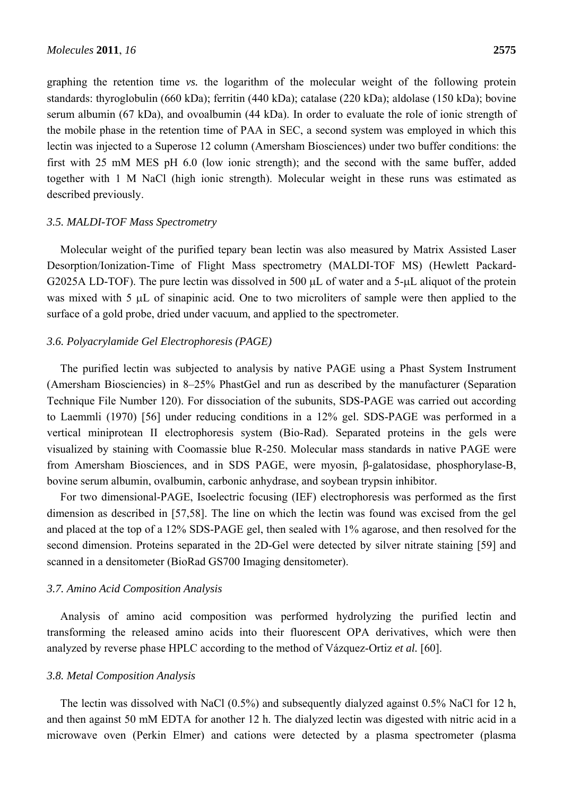graphing the retention time *vs.* the logarithm of the molecular weight of the following protein standards: thyroglobulin (660 kDa); ferritin (440 kDa); catalase (220 kDa); aldolase (150 kDa); bovine serum albumin (67 kDa), and ovoalbumin (44 kDa). In order to evaluate the role of ionic strength of the mobile phase in the retention time of PAA in SEC, a second system was employed in which this lectin was injected to a Superose 12 column (Amersham Biosciences) under two buffer conditions: the first with 25 mM MES pH 6.0 (low ionic strength); and the second with the same buffer, added together with 1 M NaCl (high ionic strength). Molecular weight in these runs was estimated as described previously.

#### *3.5. MALDI-TOF Mass Spectrometry*

Molecular weight of the purified tepary bean lectin was also measured by Matrix Assisted Laser Desorption/Ionization-Time of Flight Mass spectrometry (MALDI-TOF MS) (Hewlett Packard-G2025A LD-TOF). The pure lectin was dissolved in 500 μL of water and a 5-μL aliquot of the protein was mixed with 5 μL of sinapinic acid. One to two microliters of sample were then applied to the surface of a gold probe, dried under vacuum, and applied to the spectrometer.

## *3.6. Polyacrylamide Gel Electrophoresis (PAGE)*

The purified lectin was subjected to analysis by native PAGE using a Phast System Instrument (Amersham Biosciencies) in 8–25% PhastGel and run as described by the manufacturer (Separation Technique File Number 120). For dissociation of the subunits, SDS-PAGE was carried out according to Laemmli (1970) [56] under reducing conditions in a 12% gel. SDS-PAGE was performed in a vertical miniprotean II electrophoresis system (Bio-Rad). Separated proteins in the gels were visualized by staining with Coomassie blue R-250. Molecular mass standards in native PAGE were from Amersham Biosciences, and in SDS PAGE, were myosin, β-galatosidase, phosphorylase-B, bovine serum albumin, ovalbumin, carbonic anhydrase, and soybean trypsin inhibitor.

For two dimensional-PAGE, Isoelectric focusing (IEF) electrophoresis was performed as the first dimension as described in [57,58]. The line on which the lectin was found was excised from the gel and placed at the top of a 12% SDS-PAGE gel, then sealed with 1% agarose, and then resolved for the second dimension. Proteins separated in the 2D-Gel were detected by silver nitrate staining [59] and scanned in a densitometer (BioRad GS700 Imaging densitometer).

## *3.7. Amino Acid Composition Analysis*

Analysis of amino acid composition was performed hydrolyzing the purified lectin and transforming the released amino acids into their fluorescent OPA derivatives, which were then analyzed by reverse phase HPLC according to the method of Vázquez-Ortiz *et al.* [60].

#### *3.8. Metal Composition Analysis*

The lectin was dissolved with NaCl (0.5%) and subsequently dialyzed against 0.5% NaCl for 12 h, and then against 50 mM EDTA for another 12 h. The dialyzed lectin was digested with nitric acid in a microwave oven (Perkin Elmer) and cations were detected by a plasma spectrometer (plasma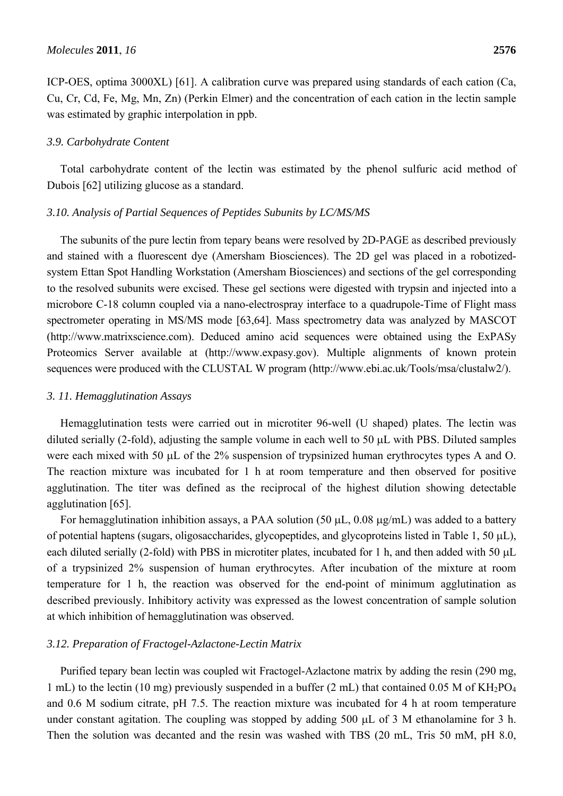ICP-OES, optima 3000XL) [61]. A calibration curve was prepared using standards of each cation (Ca, Cu, Cr, Cd, Fe, Mg, Mn, Zn) (Perkin Elmer) and the concentration of each cation in the lectin sample was estimated by graphic interpolation in ppb.

## *3.9. Carbohydrate Content*

Total carbohydrate content of the lectin was estimated by the phenol sulfuric acid method of Dubois [62] utilizing glucose as a standard.

## *3.10. Analysis of Partial Sequences of Peptides Subunits by LC/MS/MS*

The subunits of the pure lectin from tepary beans were resolved by 2D-PAGE as described previously and stained with a fluorescent dye (Amersham Biosciences). The 2D gel was placed in a robotizedsystem Ettan Spot Handling Workstation (Amersham Biosciences) and sections of the gel corresponding to the resolved subunits were excised. These gel sections were digested with trypsin and injected into a microbore C-18 column coupled via a nano-electrospray interface to a quadrupole-Time of Flight mass spectrometer operating in MS/MS mode [63,64]. Mass spectrometry data was analyzed by MASCOT (http://www.matrixscience.com). Deduced amino acid sequences were obtained using the ExPASy Proteomics Server available at (http://www.expasy.gov). Multiple alignments of known protein sequences were produced with the CLUSTAL W program (http://www.ebi.ac.uk/Tools/msa/clustalw2/).

## *3. 11. Hemagglutination Assays*

Hemagglutination tests were carried out in microtiter 96-well (U shaped) plates. The lectin was diluted serially (2-fold), adjusting the sample volume in each well to 50 μL with PBS. Diluted samples were each mixed with 50 μL of the 2% suspension of trypsinized human erythrocytes types A and O. The reaction mixture was incubated for 1 h at room temperature and then observed for positive agglutination. The titer was defined as the reciprocal of the highest dilution showing detectable agglutination [65].

For hemagglutination inhibition assays, a PAA solution (50  $\mu$ L, 0.08  $\mu$ g/mL) was added to a battery of potential haptens (sugars, oligosaccharides, glycopeptides, and glycoproteins listed in Table 1, 50 μL), each diluted serially (2-fold) with PBS in microtiter plates, incubated for 1 h, and then added with 50 μL of a trypsinized 2% suspension of human erythrocytes. After incubation of the mixture at room temperature for 1 h, the reaction was observed for the end-point of minimum agglutination as described previously. Inhibitory activity was expressed as the lowest concentration of sample solution at which inhibition of hemagglutination was observed.

## *3.12. Preparation of Fractogel-Azlactone-Lectin Matrix*

Purified tepary bean lectin was coupled wit Fractogel-Azlactone matrix by adding the resin (290 mg, 1 mL) to the lectin (10 mg) previously suspended in a buffer (2 mL) that contained 0.05 M of  $KH_2PO_4$ and 0.6 M sodium citrate, pH 7.5. The reaction mixture was incubated for 4 h at room temperature under constant agitation. The coupling was stopped by adding 500 μL of 3 M ethanolamine for 3 h. Then the solution was decanted and the resin was washed with TBS (20 mL, Tris 50 mM, pH 8.0,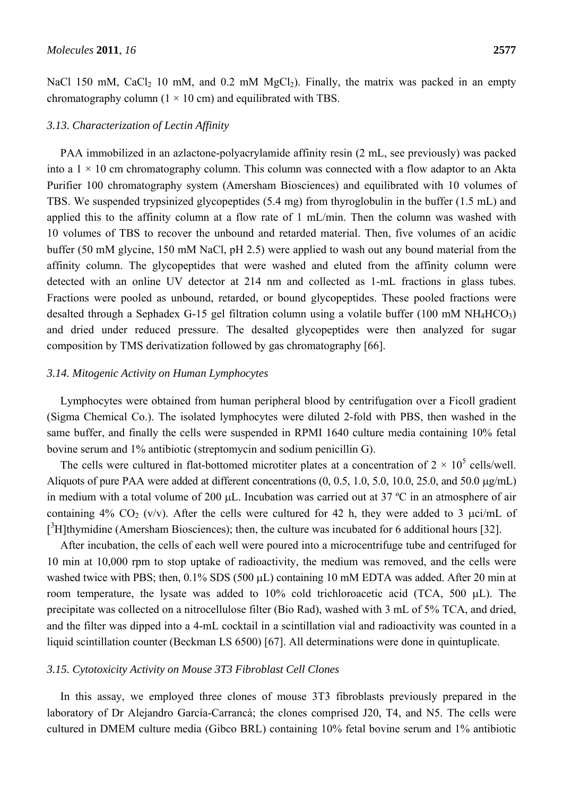NaCl 150 mM, CaCl<sub>2</sub> 10 mM, and 0.2 mM  $MgCl<sub>2</sub>$ ). Finally, the matrix was packed in an empty chromatography column  $(1 \times 10 \text{ cm})$  and equilibrated with TBS.

#### *3.13. Characterization of Lectin Affinity*

PAA immobilized in an azlactone-polyacrylamide affinity resin (2 mL, see previously) was packed into a  $1 \times 10$  cm chromatography column. This column was connected with a flow adaptor to an Akta Purifier 100 chromatography system (Amersham Biosciences) and equilibrated with 10 volumes of TBS. We suspended trypsinized glycopeptides (5.4 mg) from thyroglobulin in the buffer (1.5 mL) and applied this to the affinity column at a flow rate of 1 mL/min. Then the column was washed with 10 volumes of TBS to recover the unbound and retarded material. Then, five volumes of an acidic buffer (50 mM glycine, 150 mM NaCl, pH 2.5) were applied to wash out any bound material from the affinity column. The glycopeptides that were washed and eluted from the affinity column were detected with an online UV detector at 214 nm and collected as 1-mL fractions in glass tubes. Fractions were pooled as unbound, retarded, or bound glycopeptides. These pooled fractions were desalted through a Sephadex G-15 gel filtration column using a volatile buffer (100 mM  $NH_4HCO<sub>3</sub>$ ) and dried under reduced pressure. The desalted glycopeptides were then analyzed for sugar composition by TMS derivatization followed by gas chromatography [66].

## *3.14. Mitogenic Activity on Human Lymphocytes*

Lymphocytes were obtained from human peripheral blood by centrifugation over a Ficoll gradient (Sigma Chemical Co.). The isolated lymphocytes were diluted 2-fold with PBS, then washed in the same buffer, and finally the cells were suspended in RPMI 1640 culture media containing 10% fetal bovine serum and 1% antibiotic (streptomycin and sodium penicillin G).

The cells were cultured in flat-bottomed microtiter plates at a concentration of  $2 \times 10^5$  cells/well. Aliquots of pure PAA were added at different concentrations (0, 0.5, 1.0, 5.0, 10.0, 25.0, and 50.0 μg/mL) in medium with a total volume of 200 μL. Incubation was carried out at 37 ºC in an atmosphere of air containing 4%  $CO_2$  (v/v). After the cells were cultured for 42 h, they were added to 3 μci/mL of  $[3H]$ thymidine (Amersham Biosciences); then, the culture was incubated for 6 additional hours [32].

After incubation, the cells of each well were poured into a microcentrifuge tube and centrifuged for 10 min at 10,000 rpm to stop uptake of radioactivity, the medium was removed, and the cells were washed twice with PBS; then, 0.1% SDS (500 μL) containing 10 mM EDTA was added. After 20 min at room temperature, the lysate was added to 10% cold trichloroacetic acid (TCA, 500 μL). The precipitate was collected on a nitrocellulose filter (Bio Rad), washed with 3 mL of 5% TCA, and dried, and the filter was dipped into a 4-mL cocktail in a scintillation vial and radioactivity was counted in a liquid scintillation counter (Beckman LS 6500) [67]. All determinations were done in quintuplicate.

## *3.15. Cytotoxicity Activity on Mouse 3T3 Fibroblast Cell Clones*

In this assay, we employed three clones of mouse 3T3 fibroblasts previously prepared in the laboratory of Dr Alejandro García-Carrancá; the clones comprised J20, T4, and N5. The cells were cultured in DMEM culture media (Gibco BRL) containing 10% fetal bovine serum and 1% antibiotic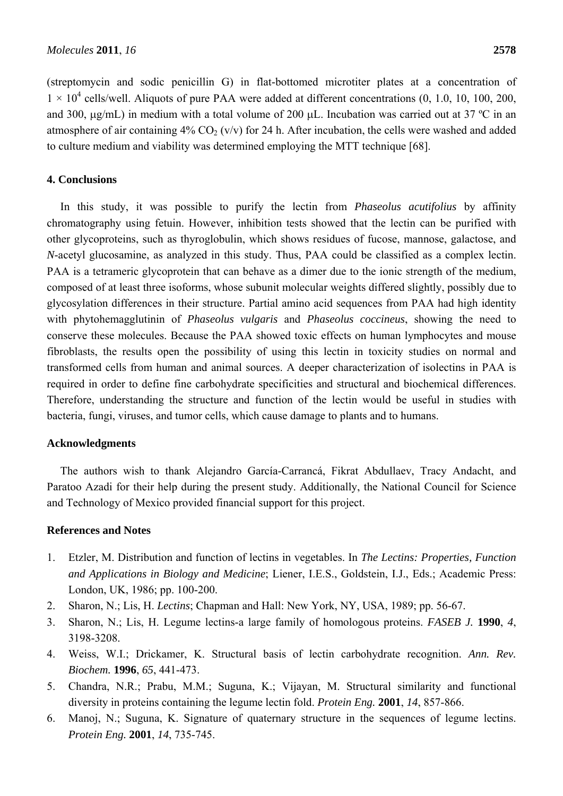(streptomycin and sodic penicillin G) in flat-bottomed microtiter plates at a concentration of  $1 \times 10^4$  cells/well. Aliquots of pure PAA were added at different concentrations (0, 1.0, 10, 100, 200, and 300, μg/mL) in medium with a total volume of 200 μL. Incubation was carried out at 37 ºC in an atmosphere of air containing  $4\%$  CO<sub>2</sub> (v/v) for 24 h. After incubation, the cells were washed and added to culture medium and viability was determined employing the MTT technique [68].

#### **4. Conclusions**

In this study, it was possible to purify the lectin from *Phaseolus acutifolius* by affinity chromatography using fetuin. However, inhibition tests showed that the lectin can be purified with other glycoproteins, such as thyroglobulin, which shows residues of fucose, mannose, galactose, and *N*-acetyl glucosamine, as analyzed in this study. Thus, PAA could be classified as a complex lectin. PAA is a tetrameric glycoprotein that can behave as a dimer due to the ionic strength of the medium, composed of at least three isoforms, whose subunit molecular weights differed slightly, possibly due to glycosylation differences in their structure. Partial amino acid sequences from PAA had high identity with phytohemagglutinin of *Phaseolus vulgaris* and *Phaseolus coccineus*, showing the need to conserve these molecules. Because the PAA showed toxic effects on human lymphocytes and mouse fibroblasts, the results open the possibility of using this lectin in toxicity studies on normal and transformed cells from human and animal sources. A deeper characterization of isolectins in PAA is required in order to define fine carbohydrate specificities and structural and biochemical differences. Therefore, understanding the structure and function of the lectin would be useful in studies with bacteria, fungi, viruses, and tumor cells, which cause damage to plants and to humans.

#### **Acknowledgments**

The authors wish to thank Alejandro García-Carrancá, Fikrat Abdullaev, Tracy Andacht, and Paratoo Azadi for their help during the present study. Additionally, the National Council for Science and Technology of Mexico provided financial support for this project.

## **References and Notes**

- 1. Etzler, M. Distribution and function of lectins in vegetables. In *The Lectins: Properties, Function and Applications in Biology and Medicine*; Liener, I.E.S., Goldstein, I.J., Eds.; Academic Press: London, UK, 1986; pp. 100-200.
- 2. Sharon, N.; Lis, H. *Lectins*; Chapman and Hall: New York, NY, USA, 1989; pp. 56-67.
- 3. Sharon, N.; Lis, H. Legume lectins-a large family of homologous proteins. *FASEB J.* **1990**, *4*, 3198-3208.
- 4. Weiss, W.I.; Drickamer, K. Structural basis of lectin carbohydrate recognition. *Ann. Rev. Biochem.* **1996**, *65*, 441-473.
- 5. Chandra, N.R.; Prabu, M.M.; Suguna, K.; Vijayan, M. Structural similarity and functional diversity in proteins containing the legume lectin fold. *Protein Eng.* **2001**, *14*, 857-866.
- 6. Manoj, N.; Suguna, K. Signature of quaternary structure in the sequences of legume lectins. *Protein Eng.* **2001**, *14*, 735-745.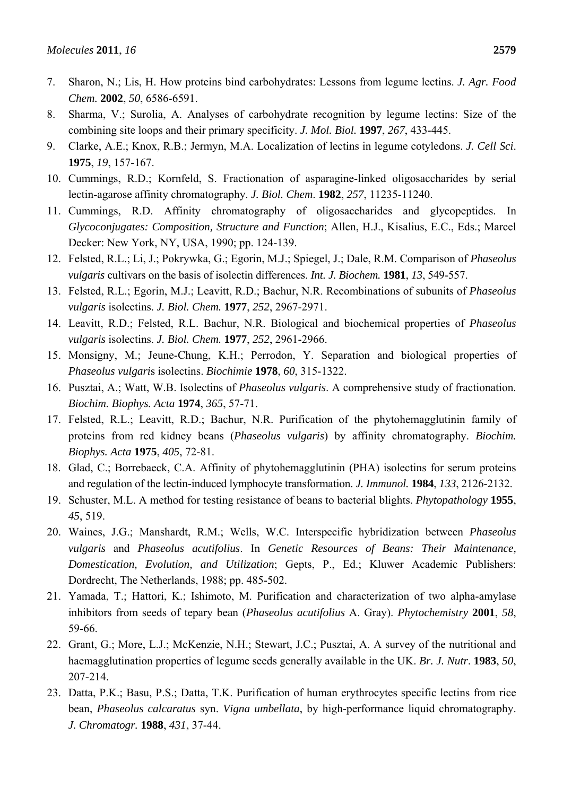- 7. Sharon, N.; Lis, H. How proteins bind carbohydrates: Lessons from legume lectins. *J. Agr. Food Chem.* **2002**, *50*, 6586-6591.
- 8. Sharma, V.; Surolia, A. Analyses of carbohydrate recognition by legume lectins: Size of the combining site loops and their primary specificity. *J. Mol. Biol.* **1997**, *267*, 433-445.
- 9. Clarke, A.E.; Knox, R.B.; Jermyn, M.A. Localization of lectins in legume cotyledons. *J. Cell Sci*. **1975**, *19*, 157-167.
- 10. Cummings, R.D.; Kornfeld, S. Fractionation of asparagine-linked oligosaccharides by serial lectin-agarose affinity chromatography. *J. Biol. Chem*. **1982**, *257*, 11235-11240.
- 11. Cummings, R.D. Affinity chromatography of oligosaccharides and glycopeptides. In *Glycoconjugates: Composition, Structure and Function*; Allen, H.J., Kisalius, E.C., Eds.; Marcel Decker: New York, NY, USA, 1990; pp. 124-139.
- 12. Felsted, R.L.; Li, J.; Pokrywka, G.; Egorin, M.J.; Spiegel, J.; Dale, R.M. Comparison of *Phaseolus vulgaris* cultivars on the basis of isolectin differences. *Int. J. Biochem.* **1981**, *13*, 549-557.
- 13. Felsted, R.L.; Egorin, M.J.; Leavitt, R.D.; Bachur, N.R. Recombinations of subunits of *Phaseolus vulgaris* isolectins. *J. Biol. Chem.* **1977**, *252*, 2967-2971.
- 14. Leavitt, R.D.; Felsted, R.L. Bachur, N.R. Biological and biochemical properties of *Phaseolus vulgaris* isolectins. *J. Biol. Chem.* **1977**, *252*, 2961-2966.
- 15. Monsigny, M.; Jeune-Chung, K.H.; Perrodon, Y. Separation and biological properties of *Phaseolus vulgari*s isolectins. *Biochimie* **1978**, *60*, 315-1322.
- 16. Pusztai, A.; Watt, W.B. Isolectins of *Phaseolus vulgaris*. A comprehensive study of fractionation. *Biochim. Biophys. Acta* **1974**, *365*, 57-71.
- 17. Felsted, R.L.; Leavitt, R.D.; Bachur, N.R. Purification of the phytohemagglutinin family of proteins from red kidney beans (*Phaseolus vulgaris*) by affinity chromatography. *Biochim. Biophys. Acta* **1975**, *405*, 72-81.
- 18. Glad, C.; Borrebaeck, C.A. Affinity of phytohemagglutinin (PHA) isolectins for serum proteins and regulation of the lectin-induced lymphocyte transformation. *J. Immunol.* **1984**, *133*, 2126-2132.
- 19. Schuster, M.L. A method for testing resistance of beans to bacterial blights. *Phytopathology* **1955**, *45*, 519.
- 20. Waines, J.G.; Manshardt, R.M.; Wells, W.C. Interspecific hybridization between *Phaseolus vulgaris* and *Phaseolus acutifolius*. In *Genetic Resources of Beans: Their Maintenance, Domestication, Evolution, and Utilization*; Gepts, P., Ed.; Kluwer Academic Publishers: Dordrecht, The Netherlands, 1988; pp. 485-502.
- 21. Yamada, T.; Hattori, K.; Ishimoto, M. Purification and characterization of two alpha-amylase inhibitors from seeds of tepary bean (*Phaseolus acutifolius* A. Gray). *Phytochemistry* **2001**, *58*, 59-66.
- 22. Grant, G.; More, L.J.; McKenzie, N.H.; Stewart, J.C.; Pusztai, A. A survey of the nutritional and haemagglutination properties of legume seeds generally available in the UK. *Br. J. Nutr*. **1983**, *50*, 207-214.
- 23. Datta, P.K.; Basu, P.S.; Datta, T.K. Purification of human erythrocytes specific lectins from rice bean, *Phaseolus calcaratus* syn. *Vigna umbellata*, by high-performance liquid chromatography. *J. Chromatogr.* **1988**, *431*, 37-44.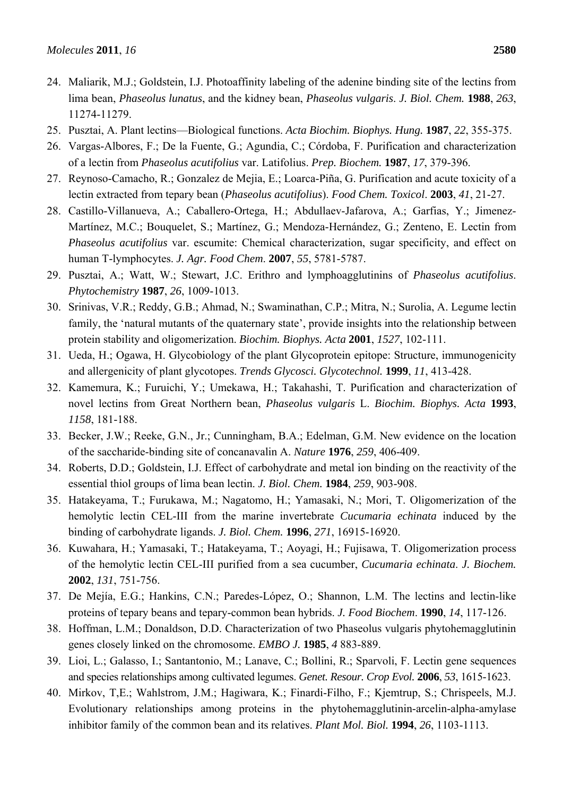- 24. Maliarik, M.J.; Goldstein, I.J. Photoaffinity labeling of the adenine binding site of the lectins from lima bean, *Phaseolus lunatus*, and the kidney bean, *Phaseolus vulgaris*. *J. Biol. Chem.* **1988**, *263*, 11274-11279.
- 25. Pusztai, A. Plant lectins—Biological functions. *Acta Biochim. Biophys. Hung.* **1987**, *22*, 355-375.
- 26. Vargas-Albores, F.; De la Fuente, G.; Agundia, C.; Córdoba, F. Purification and characterization of a lectin from *Phaseolus acutifolius* var. Latifolius. *Prep. Biochem.* **1987**, *17*, 379-396.
- 27. Reynoso-Camacho, R.; Gonzalez de Mejia, E.; Loarca-Piña, G. Purification and acute toxicity of a lectin extracted from tepary bean (*Phaseolus acutifolius*). *Food Chem. Toxicol*. **2003**, *41*, 21-27.
- 28. Castillo-Villanueva, A.; Caballero-Ortega, H.; Abdullaev-Jafarova, A.; Garfias, Y.; Jimenez-Martínez, M.C.; Bouquelet, S.; Martínez, G.; Mendoza-Hernández, G.; Zenteno, E. Lectin from *Phaseolus acutifolius* var. escumite: Chemical characterization, sugar specificity, and effect on human T-lymphocytes. *J. Agr. Food Chem*. **2007**, *55*, 5781-5787.
- 29. Pusztai, A.; Watt, W.; Stewart, J.C. Erithro and lymphoagglutinins of *Phaseolus acutifolius*. *Phytochemistry* **1987**, *26*, 1009-1013.
- 30. Srinivas, V.R.; Reddy, G.B.; Ahmad, N.; Swaminathan, C.P.; Mitra, N.; Surolia, A. Legume lectin family, the 'natural mutants of the quaternary state', provide insights into the relationship between protein stability and oligomerization. *Biochim. Biophys. Acta* **2001**, *1527*, 102-111.
- 31. Ueda, H.; Ogawa, H. Glycobiology of the plant Glycoprotein epitope: Structure, immunogenicity and allergenicity of plant glycotopes. *Trends Glycosci. Glycotechnol.* **1999**, *11*, 413-428.
- 32. Kamemura, K.; Furuichi, Y.; Umekawa, H.; Takahashi, T. Purification and characterization of novel lectins from Great Northern bean, *Phaseolus vulgaris* L. *Biochim. Biophys. Acta* **1993**, *1158*, 181-188.
- 33. Becker, J.W.; Reeke, G.N., Jr.; Cunningham, B.A.; Edelman, G.M. New evidence on the location of the saccharide-binding site of concanavalin A. *Nature* **1976**, *259*, 406-409.
- 34. Roberts, D.D.; Goldstein, I.J. Effect of carbohydrate and metal ion binding on the reactivity of the essential thiol groups of lima bean lectin. *J. Biol. Chem.* **1984**, *259*, 903-908.
- 35. Hatakeyama, T.; Furukawa, M.; Nagatomo, H.; Yamasaki, N.; Mori, T. Oligomerization of the hemolytic lectin CEL-III from the marine invertebrate *Cucumaria echinata* induced by the binding of carbohydrate ligands. *J. Biol. Chem.* **1996**, *271*, 16915-16920.
- 36. Kuwahara, H.; Yamasaki, T.; Hatakeyama, T.; Aoyagi, H.; Fujisawa, T. Oligomerization process of the hemolytic lectin CEL-III purified from a sea cucumber, *Cucumaria echinata*. *J. Biochem.*  **2002**, *131*, 751-756.
- 37. De Mejía, E.G.; Hankins, C.N.; Paredes-López, O.; Shannon, L.M. The lectins and lectin-like proteins of tepary beans and tepary-common bean hybrids. *J. Food Biochem*. **1990**, *14*, 117-126.
- 38. Hoffman, L.M.; Donaldson, D.D. Characterization of two Phaseolus vulgaris phytohemagglutinin genes closely linked on the chromosome. *EMBO J.* **1985**, *4* 883-889.
- 39. Lioi, L.; Galasso, I.; Santantonio, M.; Lanave, C.; Bollini, R.; Sparvoli, F. Lectin gene sequences and species relationships among cultivated legumes. *Genet. Resour. Crop Evol.* **2006**, *53*, 1615-1623.
- 40. Mirkov, T,E.; Wahlstrom, J.M.; Hagiwara, K.; Finardi-Filho, F.; Kjemtrup, S.; Chrispeels, M.J. Evolutionary relationships among proteins in the phytohemagglutinin-arcelin-alpha-amylase inhibitor family of the common bean and its relatives. *Plant Mol. Biol.* **1994**, *26*, 1103-1113.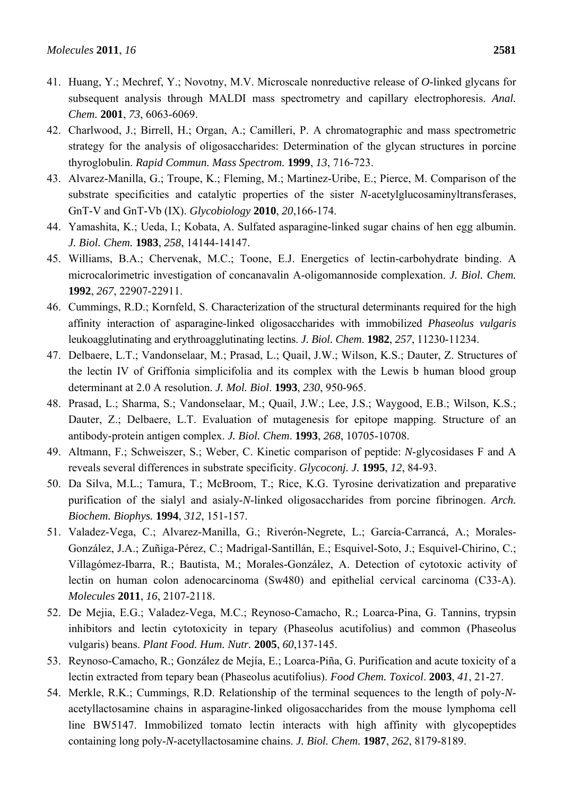- 41. Huang, Y.; Mechref, Y.; Novotny, M.V. Microscale nonreductive release of *O*-linked glycans for subsequent analysis through MALDI mass spectrometry and capillary electrophoresis. *Anal. Chem.* **2001**, *73*, 6063-6069.
- 42. Charlwood, J.; Birrell, H.; Organ, A.; Camilleri, P. A chromatographic and mass spectrometric strategy for the analysis of oligosaccharides: Determination of the glycan structures in porcine thyroglobulin. *Rapid Commun. Mass Spectrom.* **1999**, *13*, 716-723.
- 43. Alvarez-Manilla, G.; Troupe, K.; Fleming, M.; Martinez-Uribe, E.; Pierce, M. Comparison of the substrate specificities and catalytic properties of the sister *N*-acetylglucosaminyltransferases, GnT-V and GnT-Vb (IX). *Glycobiology* **2010**, *20*,166-174.
- 44. Yamashita, K.; Ueda, I.; Kobata, A. Sulfated asparagine-linked sugar chains of hen egg albumin. *J. Biol. Chem.* **1983**, *258*, 14144-14147.
- 45. Williams, B.A.; Chervenak, M.C.; Toone, E.J. Energetics of lectin-carbohydrate binding. A microcalorimetric investigation of concanavalin A-oligomannoside complexation. *J. Biol. Chem.* **1992**, *267*, 22907-22911.
- 46. Cummings, R.D.; Kornfeld, S. Characterization of the structural determinants required for the high affinity interaction of asparagine-linked oligosaccharides with immobilized *Phaseolus vulgaris* leukoagglutinating and erythroagglutinating lectins. *J. Biol. Chem*. **1982**, *257*, 11230-11234.
- 47. Delbaere, L.T.; Vandonselaar, M.; Prasad, L.; Quail, J.W.; Wilson, K.S.; Dauter, Z. Structures of the lectin IV of Griffonia simplicifolia and its complex with the Lewis b human blood group determinant at 2.0 A resolution. *J. Mol. Biol*. **1993**, *230*, 950-965.
- 48. Prasad, L.; Sharma, S.; Vandonselaar, M.; Quail, J.W.; Lee, J.S.; Waygood, E.B.; Wilson, K.S.; Dauter, Z.: Delbaere, L.T. Evaluation of mutagenesis for epitope mapping. Structure of an antibody-protein antigen complex. *J. Biol. Chem*. **1993**, *268*, 10705-10708.
- 49. Altmann, F.; Schweiszer, S.; Weber, C. Kinetic comparison of peptide: *N*-glycosidases F and A reveals several differences in substrate specificity. *Glycoconj. J.* **1995**, *12*, 84-93.
- 50. Da Silva, M.L.; Tamura, T.; McBroom, T.; Rice, K.G. Tyrosine derivatization and preparative purification of the sialyl and asialy-*N*-linked oligosaccharides from porcine fibrinogen. *Arch. Biochem. Biophys.* **1994**, *312*, 151-157.
- 51. Valadez-Vega, C.; Alvarez-Manilla, G.; Riverón-Negrete, L.; García-Carrancá, A.; Morales-González, J.A.; Zuñiga-Pérez, C.; Madrigal-Santillán, E.; Esquivel-Soto, J.; Esquivel-Chirino, C.; Villagómez-Ibarra, R.; Bautista, M.; Morales-González, A. Detection of cytotoxic activity of lectin on human colon adenocarcinoma (Sw480) and epithelial cervical carcinoma (C33-A). *Molecules* **2011**, *16*, 2107-2118.
- 52. De Mejia, E.G.; Valadez-Vega, M.C.; Reynoso-Camacho, R.; Loarca-Pina, G. Tannins, trypsin inhibitors and lectin cytotoxicity in tepary (Phaseolus acutifolius) and common (Phaseolus vulgaris) beans. *Plant Food. Hum. Nutr.* **2005**, *60*,137-145.
- 53. Reynoso-Camacho, R.; González de Mejía, E.; Loarca-Piña, G. Purification and acute toxicity of a lectin extracted from tepary bean (Phaseolus acutifolius). *Food Chem. Toxicol*. **2003**, *41*, 21-27.
- 54. Merkle, R.K.; Cummings, R.D. Relationship of the terminal sequences to the length of poly-*N*acetyllactosamine chains in asparagine-linked oligosaccharides from the mouse lymphoma cell line BW5147. Immobilized tomato lectin interacts with high affinity with glycopeptides containing long poly-*N*-acetyllactosamine chains. *J. Biol. Chem.* **1987**, *262*, 8179-8189.